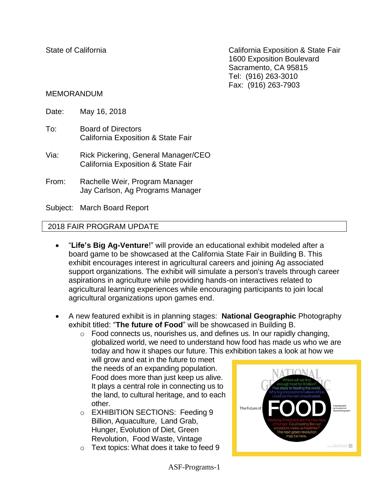State of California **California** California Exposition & State Fair 1600 Exposition Boulevard Sacramento, CA 95815 Tel: (916) 263-3010 Fax: (916) 263-7903

#### MEMORANDUM

- Date: May 16, 2018
- To: Board of Directors California Exposition & State Fair
- Via: Rick Pickering, General Manager/CEO California Exposition & State Fair
- From: Rachelle Weir, Program Manager Jay Carlson, Ag Programs Manager

Subject: March Board Report

#### 2018 FAIR PROGRAM UPDATE

- "**Life's Big Ag-Venture**!" will provide an educational exhibit modeled after a board game to be showcased at the California State Fair in Building B. This exhibit encourages interest in agricultural careers and joining Ag associated support organizations. The exhibit will simulate a person's travels through career aspirations in agriculture while providing hands-on interactives related to agricultural learning experiences while encouraging participants to join local agricultural organizations upon games end.
- A new featured exhibit is in planning stages: **National Geographic** Photography exhibit titled: "**The future of Food**" will be showcased in Building B.
	- $\circ$  Food connects us, nourishes us, and defines us. In our rapidly changing, globalized world, we need to understand how food has made us who we are today and how it shapes our future. This exhibition takes a look at how we

will grow and eat in the future to meet the needs of an expanding population. Food does more than just keep us alive. It plays a central role in connecting us to the land, to cultural heritage, and to each other.

- o EXHIBITION SECTIONS: Feeding 9 Billion, Aquaculture, Land Grab, Hunger, Evolution of Diet, Green Revolution, Food Waste, Vintage
- o Text topics: What does it take to feed 9



ASF-Programs-1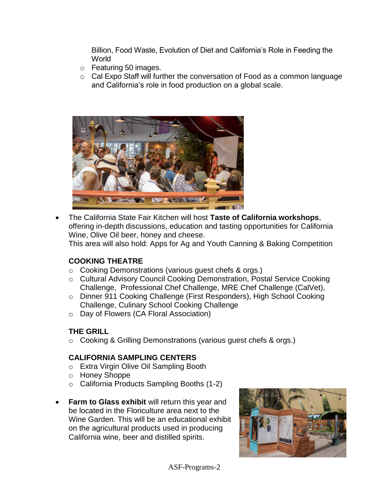Billion, Food Waste, Evolution of Diet and California's Role in Feeding the **World** 

- o Featuring 50 images.
- o Cal Expo Staff will further the conversation of Food as a common language and California's role in food production on a global scale.



 The California State Fair Kitchen will host **Taste of California workshops**, offering in-depth discussions, education and tasting opportunities for California Wine, Olive Oil beer, honey and cheese.

This area will also hold: Apps for Ag and Youth Canning & Baking Competition

#### **COOKING THEATRE**

- o Cooking Demonstrations (various guest chefs & orgs.)
- o Cultural Advisory Council Cooking Demonstration, Postal Service Cooking Challenge, Professional Chef Challenge, MRE Chef Challenge (CalVet),
- o Dinner 911 Cooking Challenge (First Responders), High School Cooking Challenge, Culinary School Cooking Challenge
- o Day of Flowers (CA Floral Association)

## **THE GRILL**

o Cooking & Grilling Demonstrations (various guest chefs & orgs.)

## **CALIFORNIA SAMPLING CENTERS**

- o Extra Virgin Olive Oil Sampling Booth
- o Honey Shoppe
- o California Products Sampling Booths (1-2)
- **Farm to Glass exhibit** will return this year and be located in the Floriculture area next to the Wine Garden. This will be an educational exhibit on the agricultural products used in producing California wine, beer and distilled spirits.

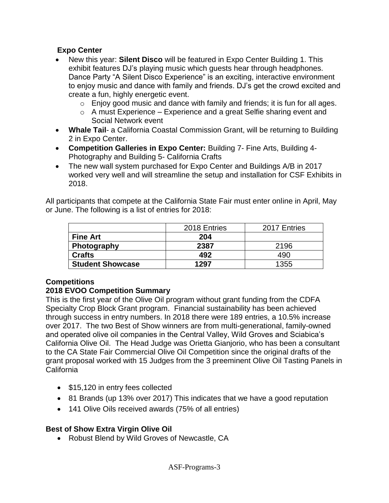### **Expo Center**

- New this year: **Silent Disco** will be featured in Expo Center Building 1. This exhibit features DJ's playing music which guests hear through headphones. Dance Party "A Silent Disco Experience" is an exciting, interactive environment to enjoy music and dance with family and friends. DJ's get the crowd excited and create a fun, highly energetic event.
	- $\circ$  Enjoy good music and dance with family and friends; it is fun for all ages.
	- $\circ$  A must Experience Experience and a great Selfie sharing event and Social Network event
- **Whale Tail** a California Coastal Commission Grant, will be returning to Building 2 in Expo Center.
- **Competition Galleries in Expo Center:** Building 7- Fine Arts, Building 4- Photography and Building 5- California Crafts
- The new wall system purchased for Expo Center and Buildings A/B in 2017 worked very well and will streamline the setup and installation for CSF Exhibits in 2018.

All participants that compete at the California State Fair must enter online in April, May or June. The following is a list of entries for 2018:

|                         | 2018 Entries | 2017 Entries |  |  |
|-------------------------|--------------|--------------|--|--|
| <b>Fine Art</b>         | 204          |              |  |  |
| Photography             | 2387         | 2196         |  |  |
| <b>Crafts</b>           | 492          | 490          |  |  |
| <b>Student Showcase</b> | 1297         | 1355         |  |  |

## **Competitions**

## **2018 EVOO Competition Summary**

This is the first year of the Olive Oil program without grant funding from the CDFA Specialty Crop Block Grant program. Financial sustainability has been achieved through success in entry numbers. In 2018 there were 189 entries, a 10.5% increase over 2017. The two Best of Show winners are from multi-generational, family-owned and operated olive oil companies in the Central Valley, Wild Groves and Sciabica's California Olive Oil. The Head Judge was Orietta Gianjorio, who has been a consultant to the CA State Fair Commercial Olive Oil Competition since the original drafts of the grant proposal worked with 15 Judges from the 3 preeminent Olive Oil Tasting Panels in California

- \$15,120 in entry fees collected
- 81 Brands (up 13% over 2017) This indicates that we have a good reputation
- 141 Olive Oils received awards (75% of all entries)

#### **Best of Show Extra Virgin Olive Oil**

Robust Blend by Wild Groves of Newcastle, CA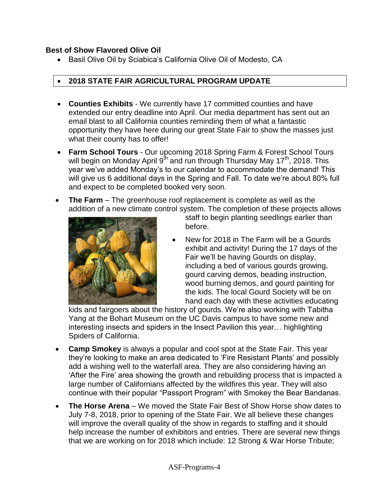#### **Best of Show Flavored Olive Oil**

• Basil Olive Oil by Sciabica's California Olive Oil of Modesto, CA

# **2018 STATE FAIR AGRICULTURAL PROGRAM UPDATE**

- **Counties Exhibits** We currently have 17 committed counties and have extended our entry deadline into April. Our media department has sent out an email blast to all California counties reminding them of what a fantastic opportunity they have here during our great State Fair to show the masses just what their county has to offer!
- **Farm School Tours** Our upcoming 2018 Spring Farm & Forest School Tours will begin on Monday April  $9<sup>th</sup>$  and run through Thursday May 17<sup>th</sup>, 2018. This year we've added Monday's to our calendar to accommodate the demand! This will give us 6 additional days in the Spring and Fall. To date we're about 80% full and expect to be completed booked very soon.
- The Farm The greenhouse roof replacement is complete as well as the addition of a new climate control system. The completion of these projects allows



staff to begin planting seedlings earlier than before.

 New for 2018 in The Farm will be a Gourds exhibit and activity! During the 17 days of the Fair we'll be having Gourds on display, including a bed of various gourds growing, gourd carving demos, beading instruction, wood burning demos, and gourd painting for the kids. The local Gourd Society will be on hand each day with these activities educating

kids and fairgoers about the history of gourds. We're also working with Tabitha Yang at the Bohart Museum on the UC Davis campus to have some new and interesting insects and spiders in the Insect Pavilion this year… highlighting Spiders of California.

- **Camp Smokey** is always a popular and cool spot at the State Fair. This year they're looking to make an area dedicated to 'Fire Resistant Plants' and possibly add a wishing well to the waterfall area. They are also considering having an 'After the Fire' area showing the growth and rebuilding process that is impacted a large number of Californians affected by the wildfires this year. They will also continue with their popular "Passport Program" with Smokey the Bear Bandanas.
- **The Horse Arena** We moved the State Fair Best of Show Horse show dates to July 7-8, 2018, prior to opening of the State Fair. We all believe these changes will improve the overall quality of the show in regards to staffing and it should help increase the number of exhibitors and entries. There are several new things that we are working on for 2018 which include: 12 Strong & War Horse Tribute;